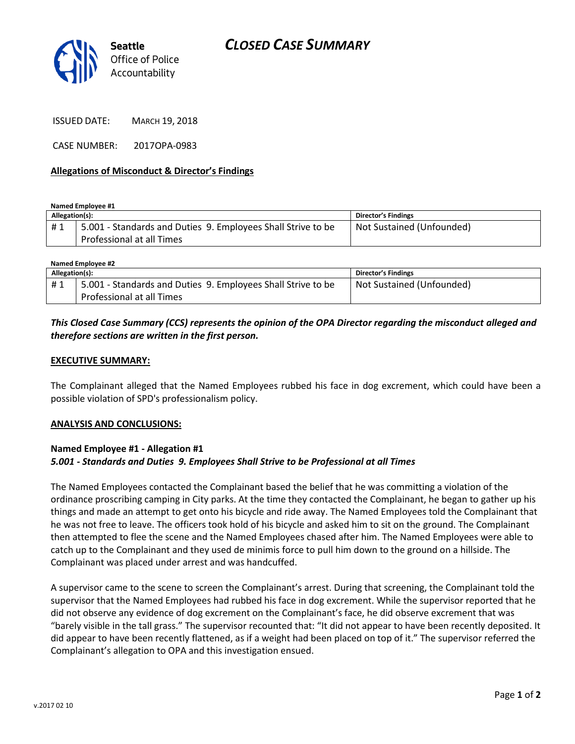

ISSUED DATE: MARCH 19, 2018

CASE NUMBER: 2017OPA-0983

#### **Allegations of Misconduct & Director's Findings**

**Named Employee #1**

| Allegation(s): |                                                              | Director's Findings       |
|----------------|--------------------------------------------------------------|---------------------------|
| #1             | 5.001 - Standards and Duties 9. Employees Shall Strive to be | Not Sustained (Unfounded) |
|                | Professional at all Times                                    |                           |

| Named Employee #2 |                                                              |                            |  |
|-------------------|--------------------------------------------------------------|----------------------------|--|
| Allegation(s):    |                                                              | <b>Director's Findings</b> |  |
| #1                | 5.001 - Standards and Duties 9. Employees Shall Strive to be | Not Sustained (Unfounded)  |  |
|                   | Professional at all Times                                    |                            |  |

## *This Closed Case Summary (CCS) represents the opinion of the OPA Director regarding the misconduct alleged and therefore sections are written in the first person.*

#### **EXECUTIVE SUMMARY:**

The Complainant alleged that the Named Employees rubbed his face in dog excrement, which could have been a possible violation of SPD's professionalism policy.

#### **ANALYSIS AND CONCLUSIONS:**

### **Named Employee #1 - Allegation #1** *5.001 - Standards and Duties 9. Employees Shall Strive to be Professional at all Times*

The Named Employees contacted the Complainant based the belief that he was committing a violation of the ordinance proscribing camping in City parks. At the time they contacted the Complainant, he began to gather up his things and made an attempt to get onto his bicycle and ride away. The Named Employees told the Complainant that he was not free to leave. The officers took hold of his bicycle and asked him to sit on the ground. The Complainant then attempted to flee the scene and the Named Employees chased after him. The Named Employees were able to catch up to the Complainant and they used de minimis force to pull him down to the ground on a hillside. The Complainant was placed under arrest and was handcuffed.

A supervisor came to the scene to screen the Complainant's arrest. During that screening, the Complainant told the supervisor that the Named Employees had rubbed his face in dog excrement. While the supervisor reported that he did not observe any evidence of dog excrement on the Complainant's face, he did observe excrement that was "barely visible in the tall grass." The supervisor recounted that: "It did not appear to have been recently deposited. It did appear to have been recently flattened, as if a weight had been placed on top of it." The supervisor referred the Complainant's allegation to OPA and this investigation ensued.